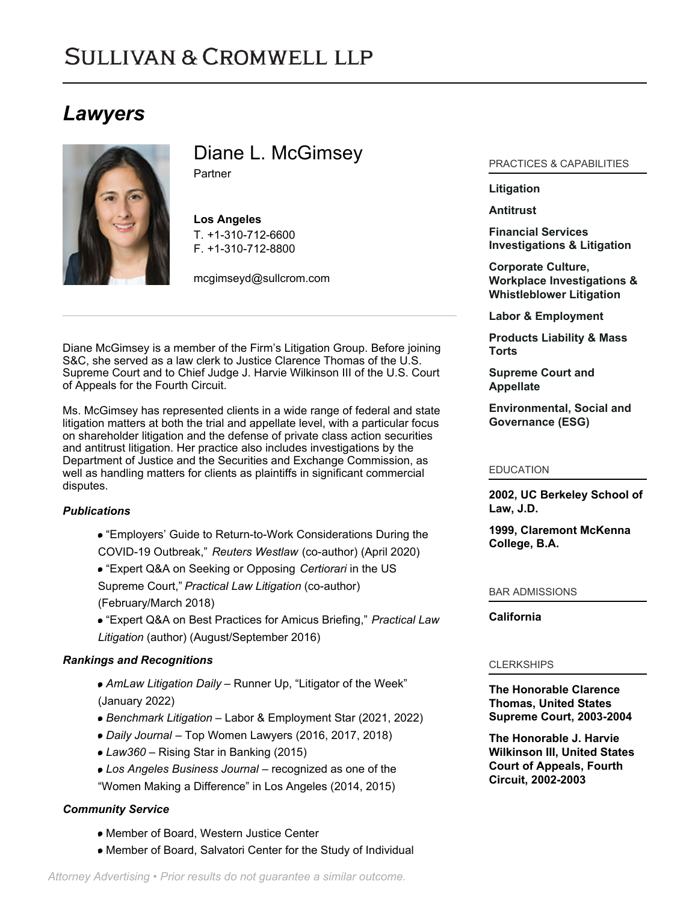# **SULLIVAN & CROMWELL LLP**

## *Lawyers*



Diane L. McGimsey

**Partner** 

**Los Angeles** T. [+1-310-712-6600](tel:+1-310-712-6600) F. [+1-310-712-8800](tel:+1-310-712-8800)

[mcgimseyd@sullcrom.com](https://www.sullcrom.com/email-disclaimer?profsid=lawyers/DianeL-McGimsey)

Diane McGimsey is a member of the Firm's Litigation Group. Before joining S&C, she served as a law clerk to Justice Clarence Thomas of the U.S. Supreme Court and to Chief Judge J. Harvie Wilkinson III of the U.S. Court of Appeals for the Fourth Circuit.

Ms. McGimsey has represented clients in a wide range of federal and state litigation matters at both the trial and appellate level, with a particular focus on shareholder litigation and the defense of private class action securities and antitrust litigation. Her practice also includes investigations by the Department of Justice and the Securities and Exchange Commission, as well as handling matters for clients as plaintiffs in significant commercial disputes.

## *Publications*

- "Employers' Guide to Return-to-Work Considerations During the COVID-19 Outbreak," *Reuters Westlaw* (co-author) (April 2020)
- "Expert Q&A on Seeking or Opposing *Certiorari* in the US Supreme Court," *Practical Law Litigation* (co-author) (February/March 2018)
- "Expert Q&A on Best Practices for Amicus Briefing," *Practical Law Litigation* (author) (August/September 2016)

## *Rankings and Recognitions*

- *AmLaw Litigation Daily* Runner Up, "Litigator of the Week" (January 2022)
- *Benchmark Litigation*  Labor & Employment Star (2021, 2022)
- *Daily Journal*  Top Women Lawyers (2016, 2017, 2018)
- *Law360* Rising Star in Banking (2015)
- *Los Angeles Business Journal*  recognized as one of the
- "Women Making a Difference" in Los Angeles (2014, 2015)

## *Community Service*

- Member of Board, Western Justice Center
- Member of Board, Salvatori Center for the Study of Individual

## PRACTICES & CAPABILITIES

## **[Litigation](https://www.sullcrom.com/Litigation-Practices)**

### **[Antitrust](https://www.sullcrom.com/Antitrust-Practices)**

**[Financial Services](https://www.sullcrom.com/bank-related-investigation-and-litigation) [Investigations & Litigation](https://www.sullcrom.com/bank-related-investigation-and-litigation)**

**[Corporate Culture,](https://www.sullcrom.com/whistleblower-litigation-and-workplace-investigations) [Workplace Investigations &](https://www.sullcrom.com/whistleblower-litigation-and-workplace-investigations) [Whistleblower Litigation](https://www.sullcrom.com/whistleblower-litigation-and-workplace-investigations)**

**[Labor & Employment](https://www.sullcrom.com/Labor-and-Employment-Litigation-Practices)**

**[Products Liability & Mass](https://www.sullcrom.com/products-liability) [Torts](https://www.sullcrom.com/products-liability)**

**[Supreme Court and](https://www.sullcrom.com/Supreme-Court-and-Appellate-Practices) [Appellate](https://www.sullcrom.com/Supreme-Court-and-Appellate-Practices)**

**[Environmental, Social and](https://www.sullcrom.com/environmental-social-and-governance) [Governance \(ESG\)](https://www.sullcrom.com/environmental-social-and-governance)**

#### EDUCATION

**2002, UC Berkeley School of Law, J.D.** 

**1999, Claremont McKenna College, B.A.** 

#### BAR ADMISSIONS

#### **California**

#### CLERKSHIPS

**The Honorable Clarence Thomas, United States Supreme Court, 2003-2004** 

**The Honorable J. Harvie Wilkinson III, United States Court of Appeals, Fourth Circuit, 2002-2003**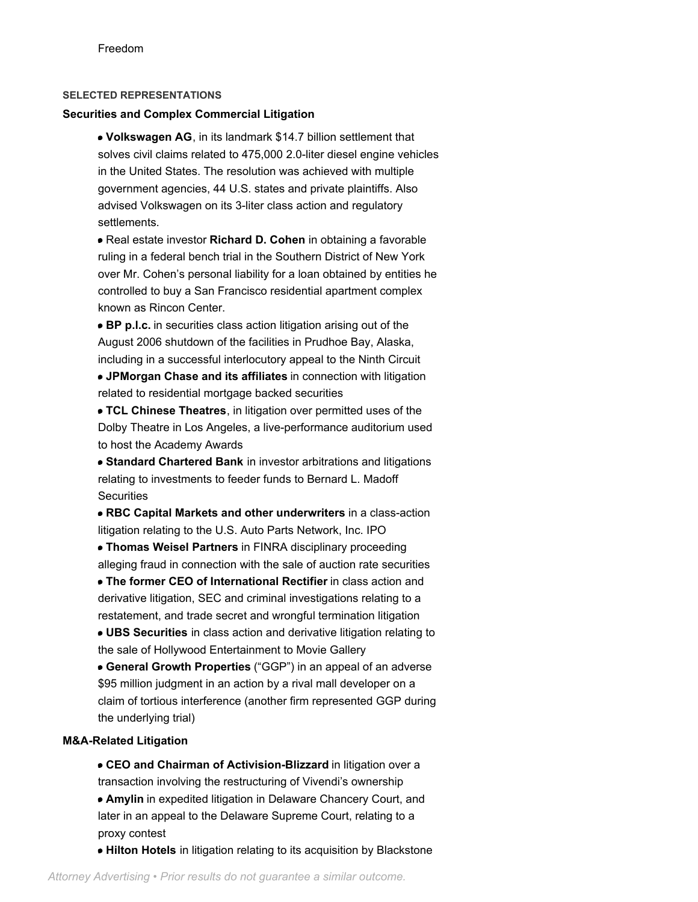#### **SELECTED REPRESENTATIONS**

#### **Securities and Complex Commercial Litigation**

**Volkswagen AG**, in its landmark \$14.7 billion settlement that solves civil claims related to 475,000 2.0-liter diesel engine vehicles in the United States. The resolution was achieved with multiple government agencies, 44 U.S. states and private plaintiffs. Also advised Volkswagen on its 3-liter class action and regulatory settlements.

Real estate investor **Richard D. Cohen** in obtaining a favorable ruling in a federal bench trial in the Southern District of New York over Mr. Cohen's personal liability for a loan obtained by entities he controlled to buy a San Francisco residential apartment complex known as Rincon Center.

**BP p.l.c.** in securities class action litigation arising out of the August 2006 shutdown of the facilities in Prudhoe Bay, Alaska, including in a successful interlocutory appeal to the Ninth Circuit

**JPMorgan Chase and its affiliates** in connection with litigation related to residential mortgage backed securities

**TCL Chinese Theatres**, in litigation over permitted uses of the Dolby Theatre in Los Angeles, a live-performance auditorium used to host the Academy Awards

**Standard Chartered Bank** in investor arbitrations and litigations relating to investments to feeder funds to Bernard L. Madoff **Securities** 

**RBC Capital Markets and other underwriters** in a class-action litigation relating to the U.S. Auto Parts Network, Inc. IPO

**Thomas Weisel Partners** in FINRA disciplinary proceeding alleging fraud in connection with the sale of auction rate securities

**The former CEO of International Rectifier** in class action and derivative litigation, SEC and criminal investigations relating to a restatement, and trade secret and wrongful termination litigation

**UBS Securities** in class action and derivative litigation relating to the sale of Hollywood Entertainment to Movie Gallery

**General Growth Properties** ("GGP") in an appeal of an adverse \$95 million judgment in an action by a rival mall developer on a claim of tortious interference (another firm represented GGP during the underlying trial)

#### **M&A-Related Litigation**

proxy contest

**CEO and Chairman of Activision-Blizzard** in litigation over a transaction involving the restructuring of Vivendi's ownership **Amylin** in expedited litigation in Delaware Chancery Court, and later in an appeal to the Delaware Supreme Court, relating to a

**Hilton Hotels** in litigation relating to its acquisition by Blackstone